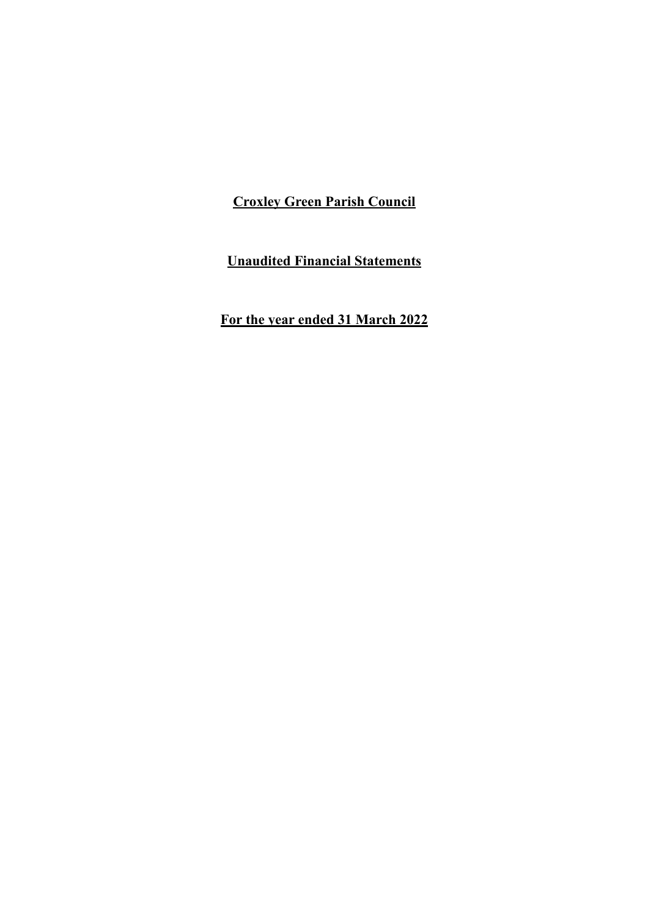**Unaudited Financial Statements**

**For the year ended 31 March 2022**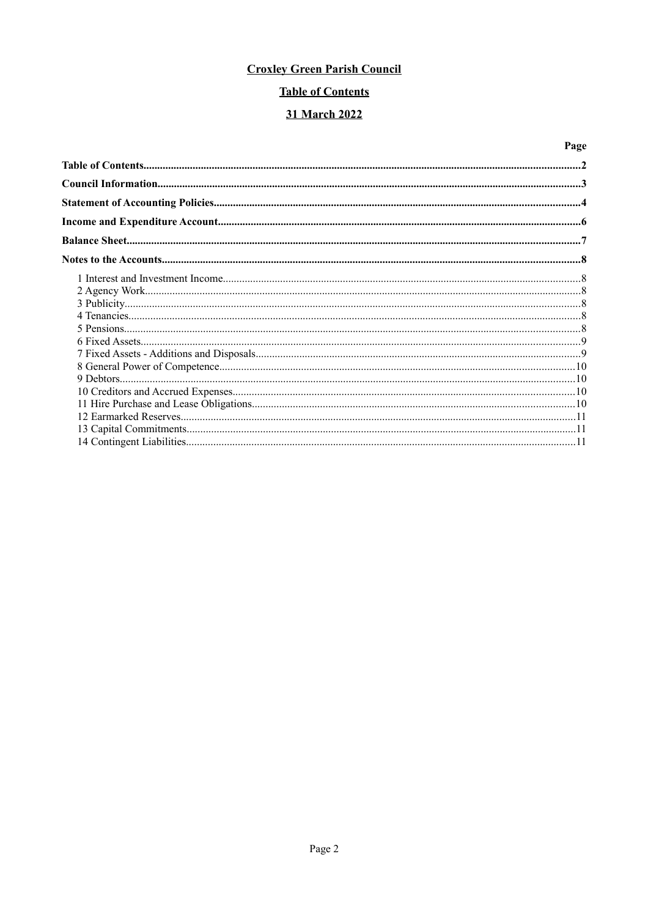# **Table of Contents**

# 31 March 2022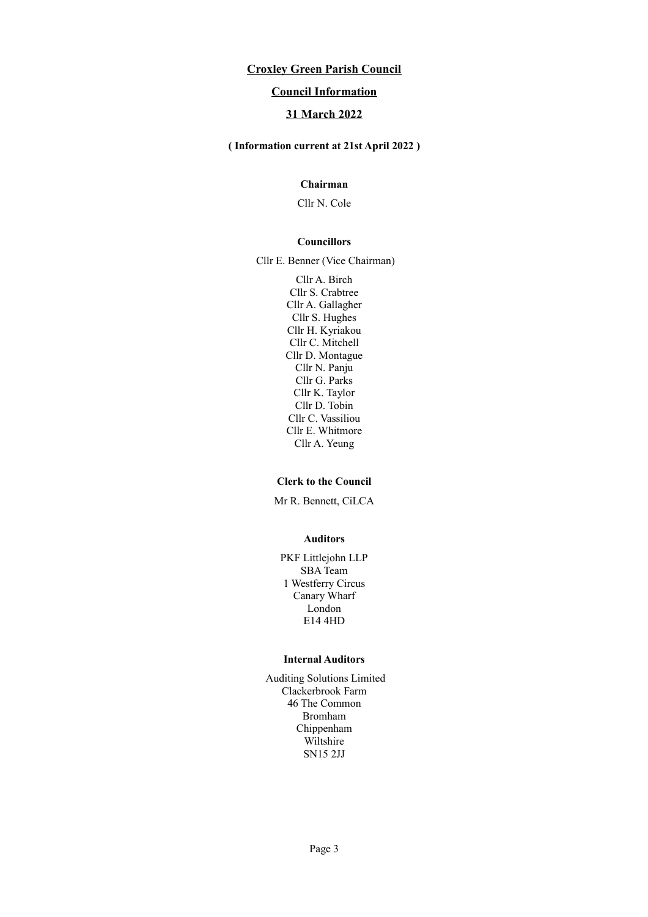## **Council Information**

# **31 March 2022**

### **( Information current at 21st April 2022 )**

# **Chairman**

Cllr N. Cole

#### **Councillors**

Cllr E. Benner (Vice Chairman)

Cllr A. Birch Cllr S. Crabtree Cllr A. Gallagher Cllr S. Hughes Cllr H. Kyriakou Cllr C. Mitchell Cllr D. Montague Cllr N. Panju Cllr G. Parks Cllr K. Taylor Cllr D. Tobin Cllr C. Vassiliou Cllr E. Whitmore Cllr A. Yeung

#### **Clerk to the Council**

Mr R. Bennett, CiLCA

#### **Auditors**

PKF Littlejohn LLP SBA Team 1 Westferry Circus Canary Wharf London E14 4HD

#### **Internal Auditors**

Auditing Solutions Limited Clackerbrook Farm 46 The Common Bromham Chippenham Wiltshire SN15 2JJ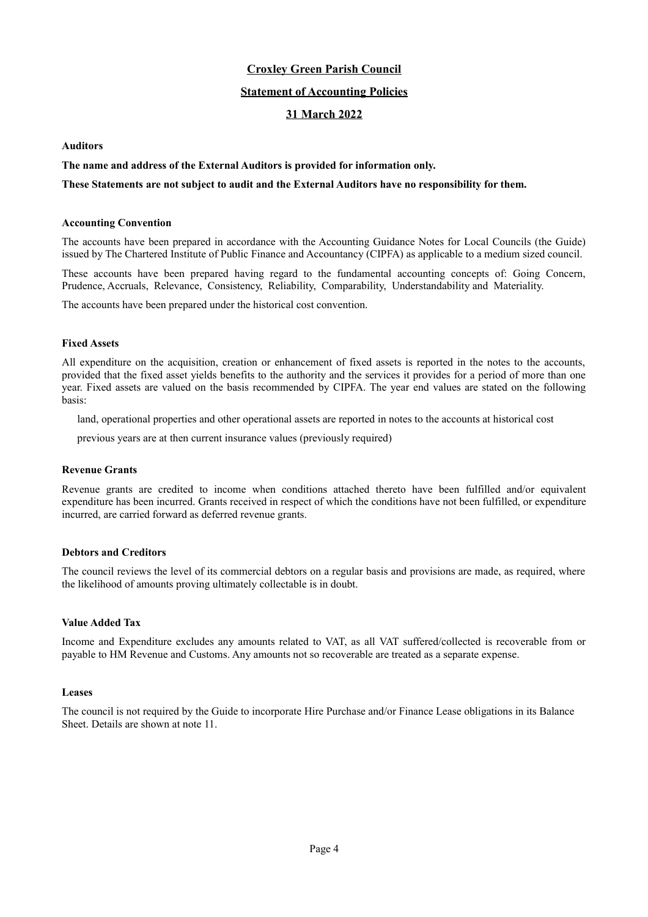### **Statement of Accounting Policies**

## **31 March 2022**

### **Auditors**

### **The name and address of the External Auditors is provided for information only.**

### **These Statements are not subject to audit and the External Auditors have no responsibility for them.**

#### **Accounting Convention**

The accounts have been prepared in accordance with the Accounting Guidance Notes for Local Councils (the Guide) issued by The Chartered Institute of Public Finance and Accountancy (CIPFA) as applicable to a medium sized council.

These accounts have been prepared having regard to the fundamental accounting concepts of: Going Concern, Prudence, Accruals, Relevance, Consistency, Reliability, Comparability, Understandability and Materiality.

The accounts have been prepared under the historical cost convention.

### **Fixed Assets**

All expenditure on the acquisition, creation or enhancement of fixed assets is reported in the notes to the accounts, provided that the fixed asset yields benefits to the authority and the services it provides for a period of more than one year. Fixed assets are valued on the basis recommended by CIPFA. The year end values are stated on the following basis:

land, operational properties and other operational assets are reported in notes to the accounts at historical cost

previous years are at then current insurance values (previously required)

#### **Revenue Grants**

Revenue grants are credited to income when conditions attached thereto have been fulfilled and/or equivalent expenditure has been incurred. Grants received in respect of which the conditions have not been fulfilled, or expenditure incurred, are carried forward as deferred revenue grants.

### **Debtors and Creditors**

The council reviews the level of its commercial debtors on a regular basis and provisions are made, as required, where the likelihood of amounts proving ultimately collectable is in doubt.

### **Value Added Tax**

Income and Expenditure excludes any amounts related to VAT, as all VAT suffered/collected is recoverable from or payable to HM Revenue and Customs. Any amounts not so recoverable are treated as a separate expense.

#### **Leases**

The council is not required by the Guide to incorporate Hire Purchase and/or Finance Lease obligations in its Balance Sheet. Details are shown at note 11.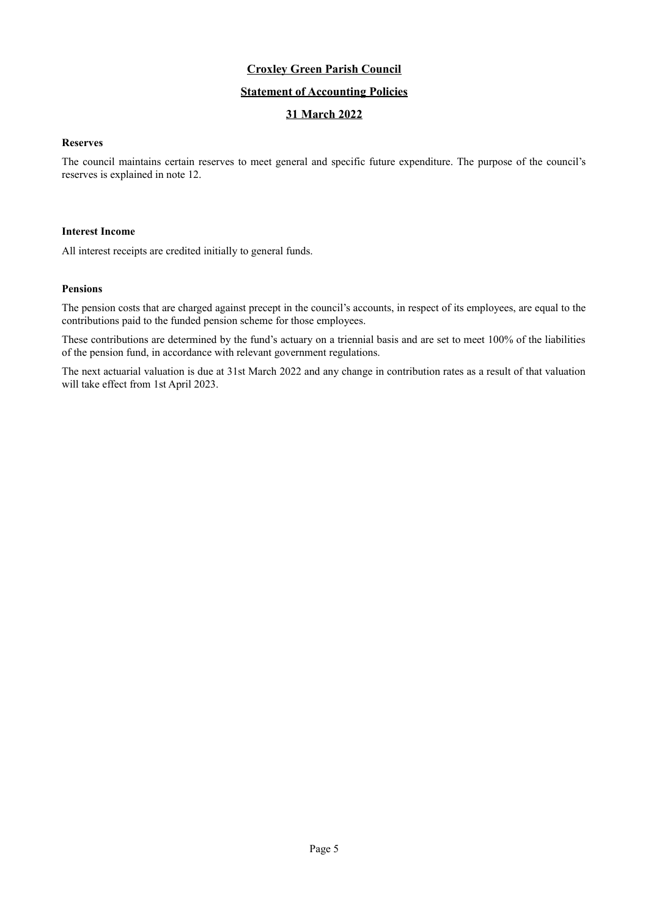# **Statement of Accounting Policies**

# **31 March 2022**

### **Reserves**

The council maintains certain reserves to meet general and specific future expenditure. The purpose of the council's reserves is explained in note 12.

### **Interest Income**

All interest receipts are credited initially to general funds.

### **Pensions**

The pension costs that are charged against precept in the council's accounts, in respect of its employees, are equal to the contributions paid to the funded pension scheme for those employees.

These contributions are determined by the fund's actuary on a triennial basis and are set to meet 100% of the liabilities of the pension fund, in accordance with relevant government regulations.

The next actuarial valuation is due at 31st March 2022 and any change in contribution rates as a result of that valuation will take effect from 1st April 2023.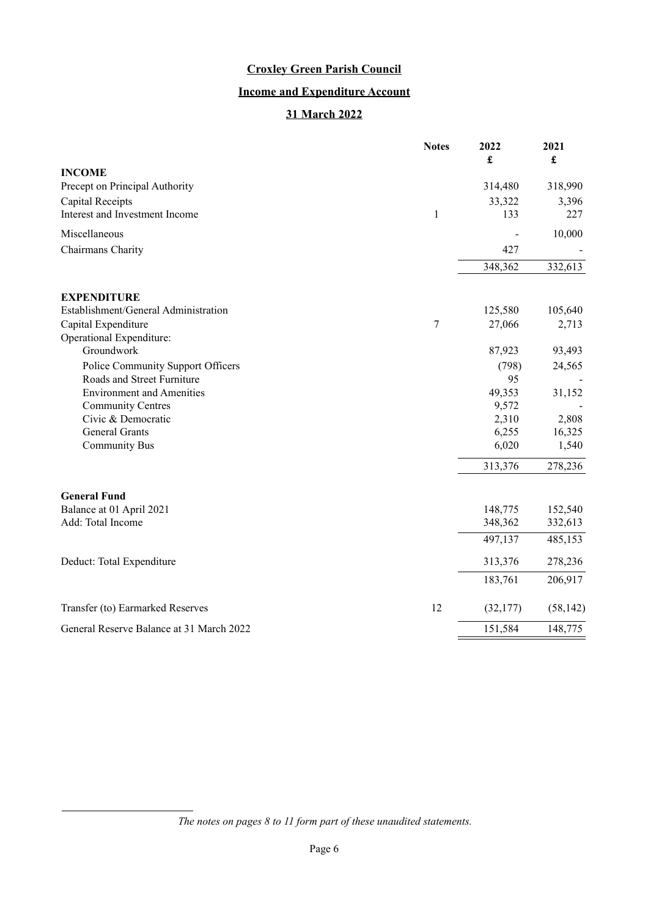# **Income and Expenditure Account**

# **31 March 2022**

|                                             | <b>Notes</b> | 2022<br>£      | 2021<br>$\pmb{\mathfrak{L}}$ |
|---------------------------------------------|--------------|----------------|------------------------------|
| <b>INCOME</b>                               |              |                |                              |
| Precept on Principal Authority              |              | 314,480        | 318,990                      |
| Capital Receipts                            |              | 33,322         | 3,396                        |
| Interest and Investment Income              | $\mathbf 1$  | 133            | 227                          |
| Miscellaneous                               |              |                | 10,000                       |
| Chairmans Charity                           |              | 427            |                              |
|                                             |              | 348,362        | 332,613                      |
| <b>EXPENDITURE</b>                          |              |                |                              |
| Establishment/General Administration        |              | 125,580        | 105,640                      |
| Capital Expenditure                         | $\tau$       | 27,066         | 2,713                        |
| Operational Expenditure:                    |              |                |                              |
| Groundwork                                  |              | 87,923         | 93,493                       |
| Police Community Support Officers           |              | (798)          | 24,565                       |
| Roads and Street Furniture                  |              | 95             |                              |
| <b>Environment and Amenities</b>            |              | 49,353         | 31,152                       |
| <b>Community Centres</b>                    |              | 9,572          |                              |
| Civic & Democratic<br><b>General Grants</b> |              | 2,310          | 2,808                        |
| <b>Community Bus</b>                        |              | 6,255<br>6,020 | 16,325<br>1,540              |
|                                             |              |                |                              |
|                                             |              | 313,376        | 278,236                      |
| <b>General Fund</b>                         |              |                |                              |
| Balance at 01 April 2021                    |              | 148,775        | 152,540                      |
| Add: Total Income                           |              | 348,362        | 332,613                      |
|                                             |              | 497,137        | 485,153                      |
| Deduct: Total Expenditure                   |              | 313,376        | 278,236                      |
|                                             |              | 183,761        | 206,917                      |
| Transfer (to) Earmarked Reserves            | 12           | (32,177)       | (58, 142)                    |
| General Reserve Balance at 31 March 2022    |              | 151,584        | 148,775                      |

*The notes on pages [8](#page-7-0) to [11](#page-10-0) form part of these unaudited statements.*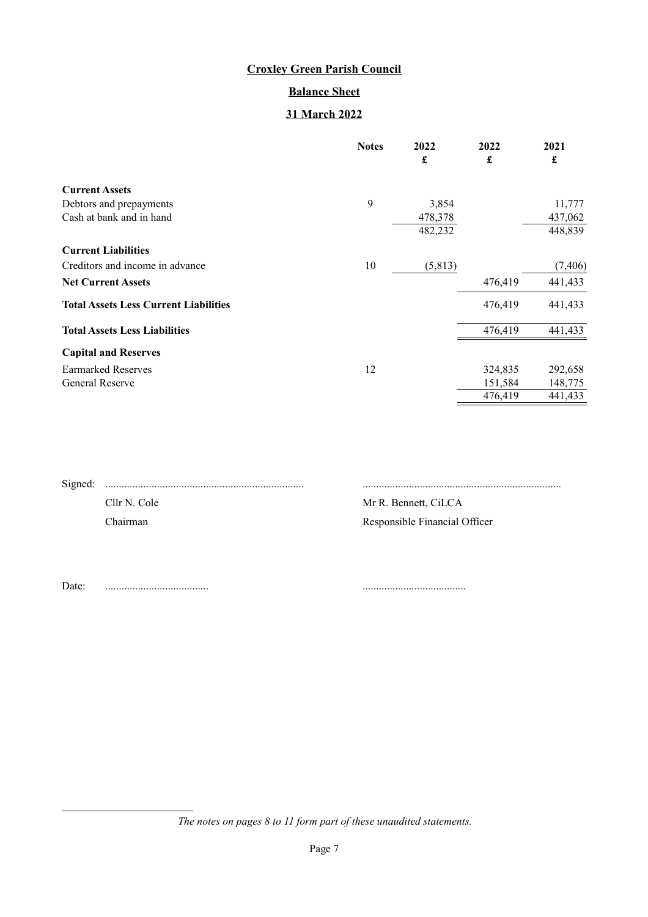# **Balance Sheet**

# **31 March 2022**

|                                              | <b>Notes</b> | 2022<br>£ | 2022<br>£ | 2021<br>£ |
|----------------------------------------------|--------------|-----------|-----------|-----------|
| <b>Current Assets</b>                        |              |           |           |           |
| Debtors and prepayments                      | 9            | 3,854     |           | 11,777    |
| Cash at bank and in hand                     |              | 478,378   |           | 437,062   |
|                                              |              | 482,232   |           | 448,839   |
| <b>Current Liabilities</b>                   |              |           |           |           |
| Creditors and income in advance              | 10           | (5, 813)  |           | (7, 406)  |
| <b>Net Current Assets</b>                    |              |           | 476,419   | 441,433   |
| <b>Total Assets Less Current Liabilities</b> |              |           | 476,419   | 441,433   |
| <b>Total Assets Less Liabilities</b>         |              |           | 476,419   | 441,433   |
| <b>Capital and Reserves</b>                  |              |           |           |           |
| <b>Earmarked Reserves</b>                    | 12           |           | 324,835   | 292,658   |
| <b>General Reserve</b>                       |              |           | 151,584   | 148,775   |
|                                              |              |           | 476,419   | 441,433   |

| Cllr N. Cole |
|--------------|
| Chairman     |
|              |

Signed: ......................................................................... .........................................................................

Mr R. Bennett, CiLCA Responsible Financial Officer

Date: ...................................... ......................................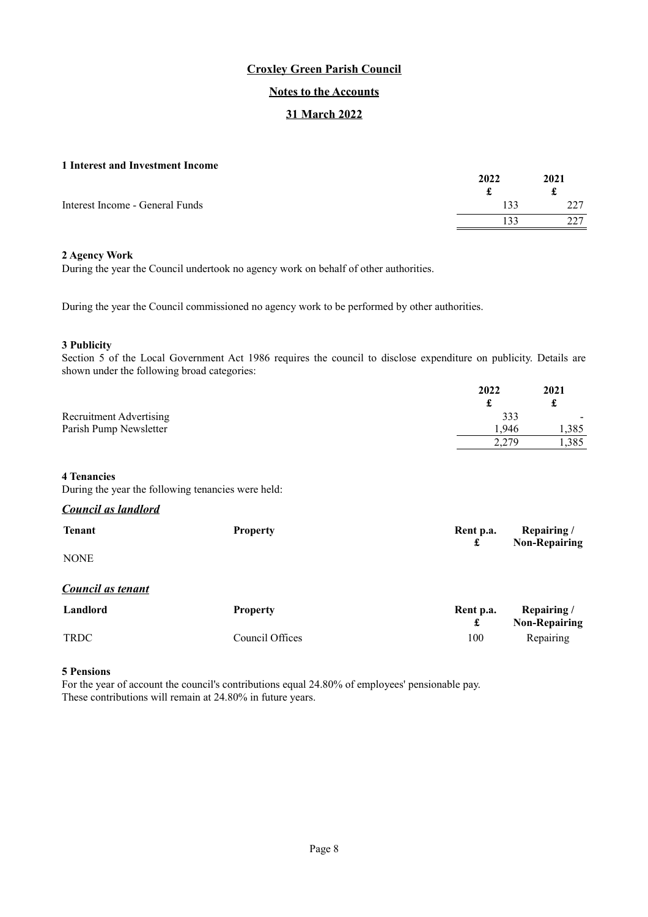## **Notes to the Accounts**

## **31 March 2022**

### <span id="page-7-0"></span>**1 Interest and Investment Income**

| 2022 | 2021 |
|------|------|
|      | t    |
| .33  | າາາ  |
| 133  | דרר  |
|      |      |

### **2 Agency Work**

During the year the Council undertook no agency work on behalf of other authorities.

During the year the Council commissioned no agency work to be performed by other authorities.

### **3 Publicity**

Section 5 of the Local Government Act 1986 requires the council to disclose expenditure on publicity. Details are shown under the following broad categories:

|                                                    | 2022  | 2021  |
|----------------------------------------------------|-------|-------|
|                                                    | £     | £     |
| <b>Recruitment Advertising</b>                     | 333   |       |
| Parish Pump Newsletter                             | 1,946 | 1,385 |
|                                                    | 2,279 | 1,385 |
|                                                    |       |       |
| <b>4 Tenancies</b>                                 |       |       |
| During the year the following tenancies were held: |       |       |
| Council as landlord                                |       |       |

| <b>Tenant</b>            | <b>Property</b> | Rent p.a.<br>£ | Repairing/<br><b>Non-Repairing</b> |
|--------------------------|-----------------|----------------|------------------------------------|
| <b>NONE</b>              |                 |                |                                    |
| <b>Council as tenant</b> |                 |                |                                    |
| Landlord                 | <b>Property</b> | Rent p.a.<br>£ | Repairing/<br><b>Non-Repairing</b> |
| TRDC                     | Council Offices | 100            | Repairing                          |

## **5 Pensions**

For the year of account the council's contributions equal 24.80% of employees' pensionable pay. These contributions will remain at 24.80% in future years.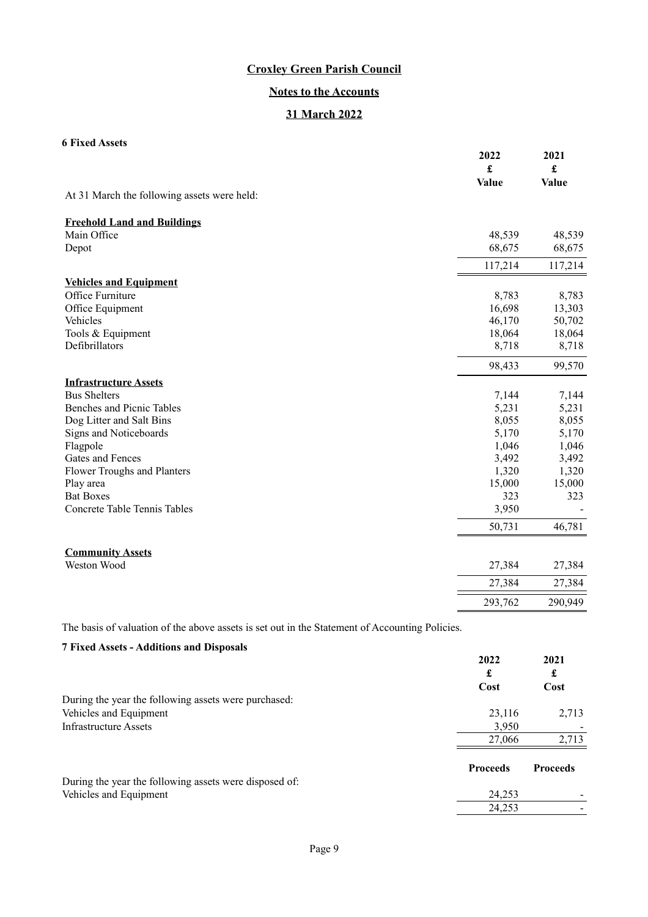# **Notes to the Accounts**

# **31 March 2022**

# **6 Fixed Assets**

|                                             | 2022<br>$\pmb{\mathfrak{L}}$ | 2021<br>£ |
|---------------------------------------------|------------------------------|-----------|
| At 31 March the following assets were held: | <b>Value</b>                 | Value     |
|                                             |                              |           |
| <b>Freehold Land and Buildings</b>          |                              |           |
| Main Office                                 | 48,539                       | 48,539    |
| Depot                                       | 68,675                       | 68,675    |
|                                             | 117,214                      | 117,214   |
| <b>Vehicles and Equipment</b>               |                              |           |
| Office Furniture                            | 8,783                        | 8,783     |
| Office Equipment                            | 16,698                       | 13,303    |
| Vehicles                                    | 46,170                       | 50,702    |
| Tools & Equipment                           | 18,064                       | 18,064    |
| Defibrillators                              | 8,718                        | 8,718     |
|                                             | 98,433                       | 99,570    |
| <b>Infrastructure Assets</b>                |                              |           |
| <b>Bus Shelters</b>                         | 7,144                        | 7,144     |
| <b>Benches and Picnic Tables</b>            | 5,231                        | 5,231     |
| Dog Litter and Salt Bins                    | 8,055                        | 8,055     |
| Signs and Noticeboards                      | 5,170                        | 5,170     |
| Flagpole                                    | 1,046                        | 1,046     |
| Gates and Fences                            | 3,492                        | 3,492     |
| Flower Troughs and Planters                 | 1,320                        | 1,320     |
| Play area                                   | 15,000                       | 15,000    |
| <b>Bat Boxes</b>                            | 323                          | 323       |
| Concrete Table Tennis Tables                | 3,950                        |           |
|                                             | 50,731                       | 46,781    |
| <b>Community Assets</b>                     |                              |           |
| Weston Wood                                 | 27,384                       | 27,384    |
|                                             | 27,384                       | 27,384    |
|                                             | 293,762                      | 290,949   |

The basis of valuation of the above assets is set out in the Statement of Accounting Policies.

| <b>7 Fixed Assets - Additions and Disposals</b>        |                 |                 |
|--------------------------------------------------------|-----------------|-----------------|
|                                                        | 2022<br>£       | 2021<br>£       |
|                                                        | Cost            | Cost            |
| During the year the following assets were purchased:   |                 |                 |
| Vehicles and Equipment                                 | 23.116          | 2,713           |
| Infrastructure Assets                                  | 3,950           |                 |
|                                                        | 27,066          | 2,713           |
|                                                        | <b>Proceeds</b> | <b>Proceeds</b> |
| During the year the following assets were disposed of: |                 |                 |
| Vehicles and Equipment                                 | 24,253          |                 |
|                                                        | 24.253          |                 |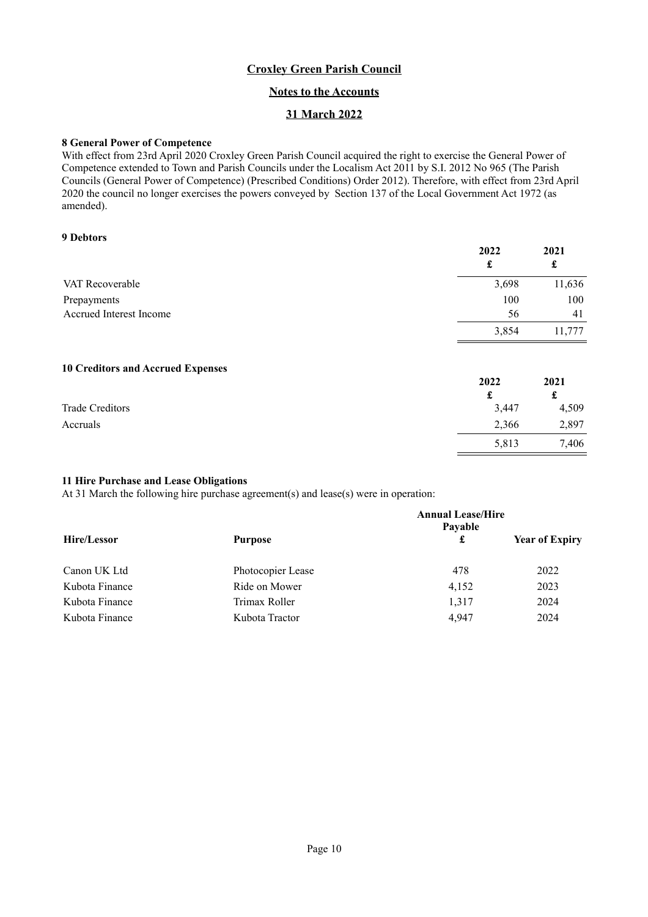## **Notes to the Accounts**

# **31 March 2022**

### **8 General Power of Competence**

With effect from 23rd April 2020 Croxley Green Parish Council acquired the right to exercise the General Power of Competence extended to Town and Parish Councils under the Localism Act 2011 by S.I. 2012 No 965 (The Parish Councils (General Power of Competence) (Prescribed Conditions) Order 2012). Therefore, with effect from 23rd April 2020 the council no longer exercises the powers conveyed by Section 137 of the Local Government Act 1972 (as amended).

### **9 Debtors**

|                         | 2022  | 2021<br>£ |
|-------------------------|-------|-----------|
| VAT Recoverable         | 3,698 | 11,636    |
| Prepayments             | 100   | 100       |
| Accrued Interest Income | 56    | 41        |
|                         | 3,854 | 11,777    |

### **10 Creditors and Accrued Expenses**

| __              | 2022  | 2021  |
|-----------------|-------|-------|
|                 |       | £     |
| Trade Creditors | 3,447 | 4,509 |
| Accruals        | 2,366 | 2,897 |
|                 | 5,813 | 7,406 |

5,813

### **11 Hire Purchase and Lease Obligations**

At 31 March the following hire purchase agreement(s) and lease(s) were in operation:

|                |                   | <b>Annual Lease/Hire</b><br>Payable |                       |  |
|----------------|-------------------|-------------------------------------|-----------------------|--|
| Hire/Lessor    | <b>Purpose</b>    | £                                   | <b>Year of Expiry</b> |  |
| Canon UK Ltd   | Photocopier Lease | 478                                 | 2022                  |  |
| Kubota Finance | Ride on Mower     | 4,152                               | 2023                  |  |
| Kubota Finance | Trimax Roller     | 1,317                               | 2024                  |  |
| Kubota Finance | Kubota Tractor    | 4.947                               | 2024                  |  |